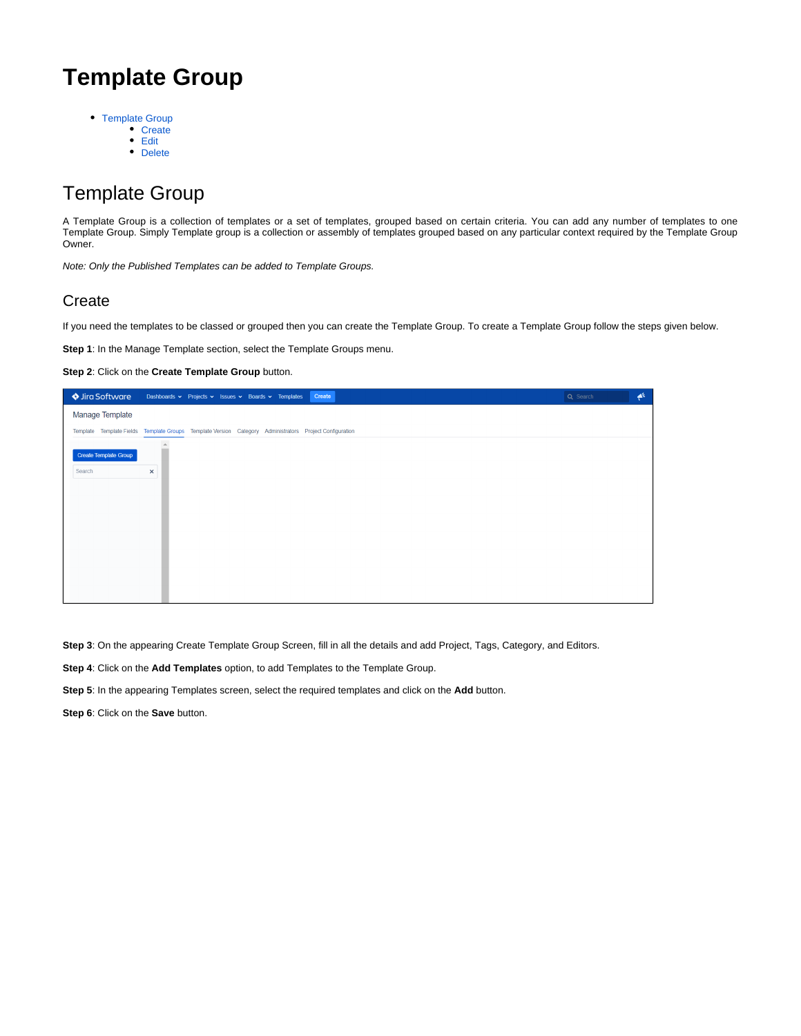# **Template Group**

- [Template Group](#page-0-0)
	- Create
	- [Edit](#page-1-0)
	- [Delete](#page-2-0)

# <span id="page-0-0"></span>Template Group

A Template Group is a collection of templates or a set of templates, grouped based on certain criteria. You can add any number of templates to one Template Group. Simply Template group is a collection or assembly of templates grouped based on any particular context required by the Template Group Owner.

Note: Only the Published Templates can be added to Template Groups.

## <span id="page-0-1"></span>**Create**

If you need the templates to be classed or grouped then you can create the Template Group. To create a Template Group follow the steps given below.

**Step 1**: In the Manage Template section, select the Template Groups menu.

**Step 2**: Click on the **Create Template Group** button.

| Ira Software                    | Create<br>Dashboards v Projects v Issues v Boards v Templates                                           | Q Search | $\blacktriangle$ |
|---------------------------------|---------------------------------------------------------------------------------------------------------|----------|------------------|
| Manage Template                 |                                                                                                         |          |                  |
|                                 | Template Template Fields Template Groups Template Version Category Administrators Project Configuration |          |                  |
| Create Template Group<br>Search | $\times$                                                                                                |          |                  |

**Step 3**: On the appearing Create Template Group Screen, fill in all the details and add Project, Tags, Category, and Editors.

**Step 4**: Click on the **Add Templates** option, to add Templates to the Template Group.

**Step 5**: In the appearing Templates screen, select the required templates and click on the **Add** button.

**Step 6**: Click on the **Save** button.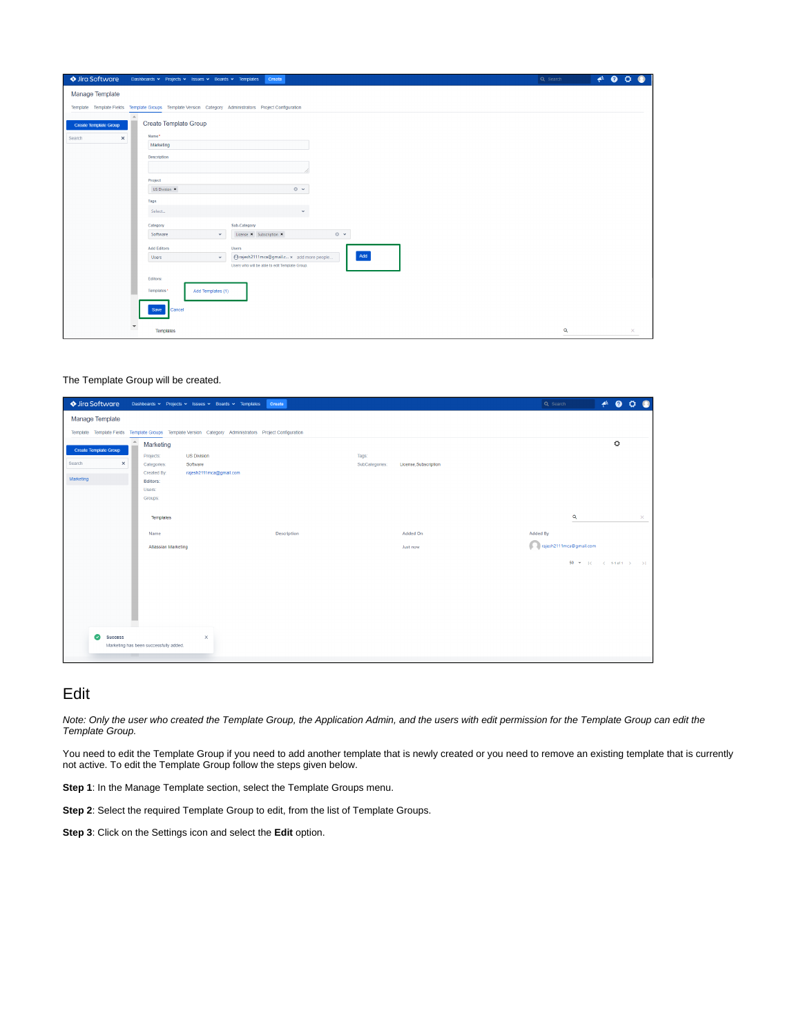| ♦ Jira Software<br>Dashboards v Projects v Issues v Boards v Templates<br>Create                                     | Q Search | $A^{\epsilon}$ & $O$<br>$\bullet$ |
|----------------------------------------------------------------------------------------------------------------------|----------|-----------------------------------|
| Manage Template                                                                                                      |          |                                   |
| Template Template Fields Template Groups Template Version Category Administrators Project Configuration              |          |                                   |
| Create Template Group<br><b>Create Template Group</b>                                                                |          |                                   |
| Name*<br>Search<br>$\times$                                                                                          |          |                                   |
| Marketing                                                                                                            |          |                                   |
| Description                                                                                                          |          |                                   |
|                                                                                                                      |          |                                   |
| Project                                                                                                              |          |                                   |
| $\circ$ $\cdot$<br>US Division *                                                                                     |          |                                   |
| Tags                                                                                                                 |          |                                   |
| Select<br>$\checkmark$                                                                                               |          |                                   |
| Sub-Category<br>Category                                                                                             |          |                                   |
| $O \sim$<br>Software<br>License $\times$ Subscription $\times$<br>$\checkmark$                                       |          |                                   |
| <b>Add Editors</b><br><b>Users</b><br>Add                                                                            |          |                                   |
| erajesh2111mca@gmail.c x add more people.<br>Users<br>$\checkmark$<br>Users who will be able to edit Template Group. |          |                                   |
| Editors:                                                                                                             |          |                                   |
| Templates*<br>Add Templates (1)                                                                                      |          |                                   |
|                                                                                                                      |          |                                   |
| Cancel<br>Save                                                                                                       |          |                                   |
| $\mathbf{v}$                                                                                                         |          |                                   |
| Templates                                                                                                            | Q        | $\times$                          |

#### The Template Group will be created.

| ♦ Jira Software                                             | Dashboards v Projects v Issues v Boards v Templates<br>Create                                           |                         | $A^{\epsilon}$ <b>0</b> $O$<br>Q Search<br>Q                                |
|-------------------------------------------------------------|---------------------------------------------------------------------------------------------------------|-------------------------|-----------------------------------------------------------------------------|
| Manage Template                                             |                                                                                                         |                         |                                                                             |
|                                                             | Template Template Fields Template Groups Template Version Category Administrators Project Configuration |                         |                                                                             |
| $\mathbb{A}$<br>Create Template Group<br>$\times$<br>Search | Marketing<br>Projects:<br><b>US Division</b><br>Software                                                | Tags:<br>SubCategories: | $\circ$                                                                     |
| Marketing                                                   | Categories:<br>rajesh2111mca@gmail.com<br>Created By:<br>Editors:<br>Users:                             | License, Subscription   |                                                                             |
|                                                             | Groups:                                                                                                 |                         | Q                                                                           |
|                                                             | Templates                                                                                               |                         | $\times$                                                                    |
|                                                             | Name<br>Description                                                                                     | <b>Added On</b>         | Added By                                                                    |
|                                                             | Atlassian Marketing                                                                                     | Just now                | rajesh2111mca@gmail.com                                                     |
|                                                             |                                                                                                         |                         | 50 $\blacktriangledown$ $ \langle$ $\langle$ 1-1 of 1 $\rangle$ $\rangle$ ) |
|                                                             |                                                                                                         |                         |                                                                             |
|                                                             |                                                                                                         |                         |                                                                             |
|                                                             |                                                                                                         |                         |                                                                             |
|                                                             |                                                                                                         |                         |                                                                             |
| ◚                                                           |                                                                                                         |                         |                                                                             |
| Success                                                     | $\times$<br>Marketing has been successfully added.                                                      |                         |                                                                             |
|                                                             |                                                                                                         |                         |                                                                             |

## <span id="page-1-0"></span>Edit

Note: Only the user who created the Template Group, the Application Admin, and the users with edit permission for the Template Group can edit the Template Group.

You need to edit the Template Group if you need to add another template that is newly created or you need to remove an existing template that is currently not active. To edit the Template Group follow the steps given below.

**Step 1**: In the Manage Template section, select the Template Groups menu.

**Step 2**: Select the required Template Group to edit, from the list of Template Groups.

**Step 3**: Click on the Settings icon and select the **Edit** option.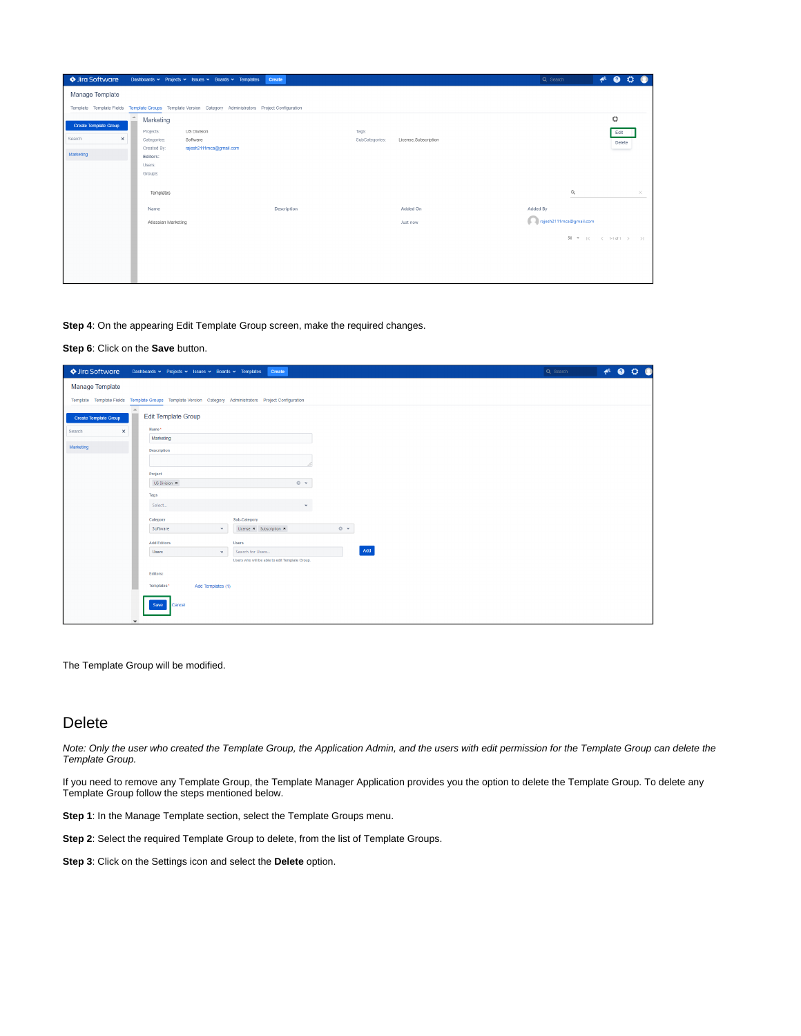| ♦ Jira Software                                                 | Dashboards v Projects v Issues v Boards v Templates                                                                              | <b>Create</b> |                                                  | $\triangleq$ 0<br>$\bullet$<br><b>TOP</b><br>Q Search |
|-----------------------------------------------------------------|----------------------------------------------------------------------------------------------------------------------------------|---------------|--------------------------------------------------|-------------------------------------------------------|
| Manage Template                                                 |                                                                                                                                  |               |                                                  |                                                       |
|                                                                 | Template Template Fields Template Groups Template Version Category Administrators Project Configuration                          |               |                                                  |                                                       |
| <b>Create Template Group</b><br>Search<br>$\times$<br>Marketing | Marketing<br>US Division<br>Projects:<br>Categories:<br>Software<br>rajesh2111mca@gmail.com<br>Created By:<br>Editors:<br>Users: |               | Tags:<br>SubCategories:<br>License, Subscription | ۰<br>Edit<br>Delete                                   |
|                                                                 | Groups:<br>Templates<br>Name                                                                                                     | Description   | Added On                                         | $\alpha$<br>$\times$<br>Added By                      |
|                                                                 | Atlassian Marketing                                                                                                              |               | Just now                                         | rajesh2111mca@gmail.com                               |
|                                                                 |                                                                                                                                  |               |                                                  | 50 W   < < 1-1 of 1 > > >                             |

**Step 4**: On the appearing Edit Template Group screen, make the required changes.

#### **Step 6**: Click on the **Save** button.

| ♦ Jira Software       | Dashboards v Projects v Issues v Boards v Templates<br>Create                                           | Q Search | $A^k$ <b>0</b> 0 0 0 |
|-----------------------|---------------------------------------------------------------------------------------------------------|----------|----------------------|
| Manage Template       |                                                                                                         |          |                      |
|                       | Template Template Fields Template Groups Template Version Category Administrators Project Configuration |          |                      |
| Create Template Group | $\mathcal{A}_1$<br><b>Edit Template Group</b>                                                           |          |                      |
| $\times$<br>Search    | Name*                                                                                                   |          |                      |
|                       | Marketing                                                                                               |          |                      |
| Marketing             | Description                                                                                             |          |                      |
|                       |                                                                                                         |          |                      |
|                       | Project                                                                                                 |          |                      |
|                       | $\circ$ $\cdot$<br>US Division *                                                                        |          |                      |
|                       | Tags                                                                                                    |          |                      |
|                       | Select<br>$\checkmark$                                                                                  |          |                      |
|                       | Sub-Category<br>Category                                                                                |          |                      |
|                       | $\circ$ $\sim$<br>Software<br>License * Subscription *<br>$\checkmark$                                  |          |                      |
|                       | <b>Add Editors</b><br><b>Users</b>                                                                      |          |                      |
|                       | Add<br><b>Users</b><br>Search for Users<br>$\checkmark$                                                 |          |                      |
|                       | Users who will be able to edit Template Group.                                                          |          |                      |
|                       | Editors:                                                                                                |          |                      |
|                       | Templates*<br>Add Templates (1)                                                                         |          |                      |
|                       | Cancel<br>Save<br>$\checkmark$                                                                          |          |                      |

The Template Group will be modified.

## <span id="page-2-0"></span>Delete

Note: Only the user who created the Template Group, the Application Admin, and the users with edit permission for the Template Group can delete the Template Group.

If you need to remove any Template Group, the Template Manager Application provides you the option to delete the Template Group. To delete any Template Group follow the steps mentioned below.

**Step 1**: In the Manage Template section, select the Template Groups menu.

**Step 2**: Select the required Template Group to delete, from the list of Template Groups.

**Step 3**: Click on the Settings icon and select the **Delete** option.